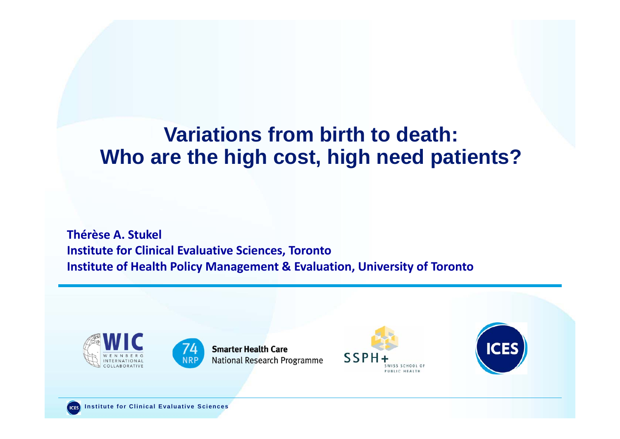### **Variations from birth to death: Who are the high cost, high need patients?**

**Thérèse A. Stukel Institute for Clinical Evaluative Sciences, Toronto Institute of Health Policy Management & Evaluation, University of Toronto**





**Smarter Health Care** National Research Programme



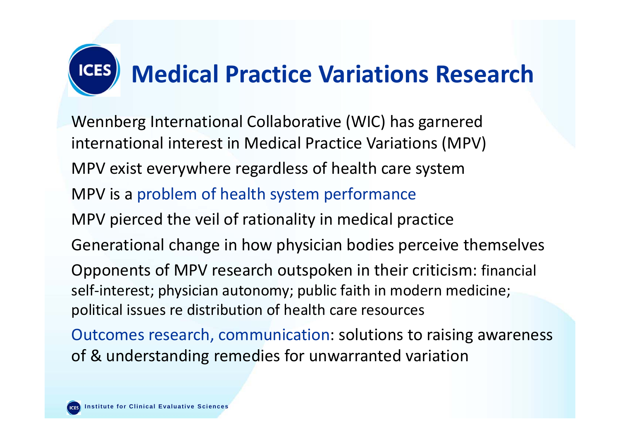

Wennberg International Collaborative (WIC) has garnered international interest in Medical Practice Variations (MPV) MPV exist everywhere regardless of health care system MPV is <sup>a</sup> problem of health system performance MPV pierced the veil of rationality in medical practice Generational change in how physician bodies perceive themselves Opponents of MPV research outspoken in their criticism: financial self-interest; physician autonomy; public faith in modern medicine; political issues re distribution of health care resources

Outcomes research, communication: solutions to raising awareness of & understanding remedies for unwarranted variation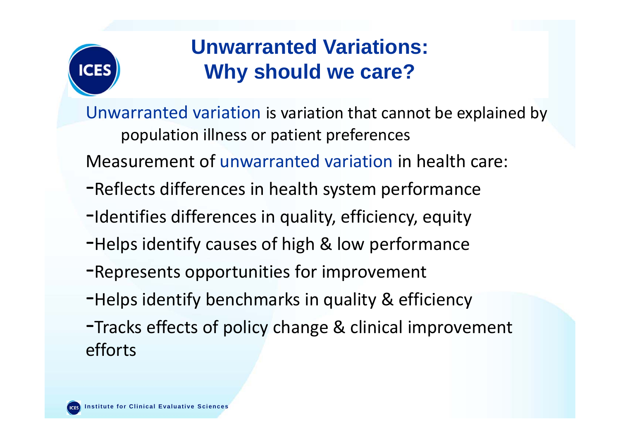

### **Unwarranted Variations: Why should we care?**

Unwarranted variation is variation that cannot be explained by population illness or patient preferences

Measurement of unwarranted variation in health care:

- ‐Reflects differences in health system performance
- ‐Identifies differences in quality, efficiency, equity
- ‐Helps identify causes of high & low performance
- ‐Represents opportunities for improvement
- -Helps identify benchmarks in quality & efficiency
- ‐Tracks effects of policy change & clinical improvement efforts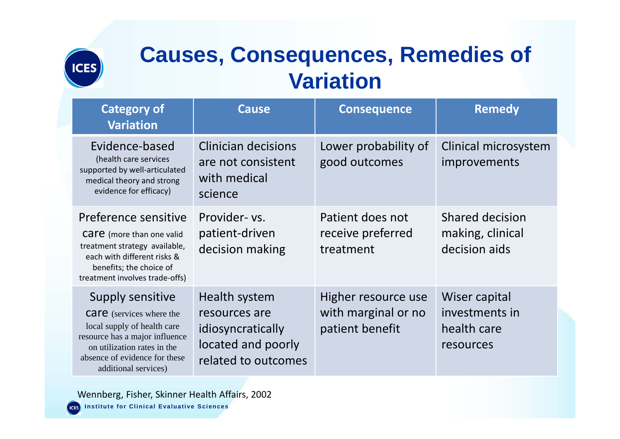

# **Causes, Consequences, Remedies of Variation**

| <b>Category of</b><br><b>Variation</b>                                                                                                                                                                       | <b>Cause</b>                                                                                     | <b>Consequence</b>                                            | <b>Remedy</b>                                               |
|--------------------------------------------------------------------------------------------------------------------------------------------------------------------------------------------------------------|--------------------------------------------------------------------------------------------------|---------------------------------------------------------------|-------------------------------------------------------------|
| Evidence-based<br>(health care services<br>supported by well-articulated<br>medical theory and strong<br>evidence for efficacy)                                                                              | <b>Clinician decisions</b><br>are not consistent<br>with medical<br>science                      | Lower probability of<br>good outcomes                         | Clinical microsystem<br><i>improvements</i>                 |
| Preference sensitive<br><b>Care</b> (more than one valid<br>treatment strategy available,<br>each with different risks &<br>benefits; the choice of<br>treatment involves trade-offs)                        | Provider- vs.<br>patient-driven<br>decision making                                               | Patient does not<br>receive preferred<br>treatment            | <b>Shared decision</b><br>making, clinical<br>decision aids |
| Supply sensitive<br><b>Care</b> (services where the<br>local supply of health care<br>resource has a major influence<br>on utilization rates in the<br>absence of evidence for these<br>additional services) | Health system<br>resources are<br>idiosyncratically<br>located and poorly<br>related to outcomes | Higher resource use<br>with marginal or no<br>patient benefit | Wiser capital<br>investments in<br>health care<br>resources |

**Institute for Clinical Evaluative Sciences Institute for Clinical Evaluative Sciences** Wennberg, Fisher, Skinner Health Affairs, 2002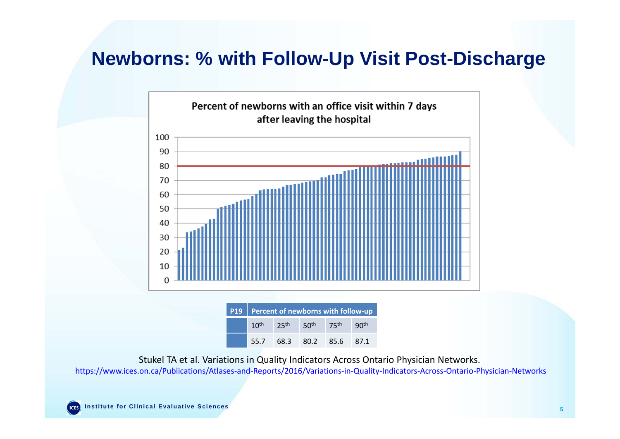#### **Newborns: % with Follow-Up Visit Post-Discharge**



Stukel TA et al. Variations in Quality Indicators Across Ontario Physician Networks.

https://www.ices.on.ca/Publications/Atlases‐and‐Reports/2016/Variations‐in‐Quality‐Indicators‐Across‐Ontario‐Physician‐Networks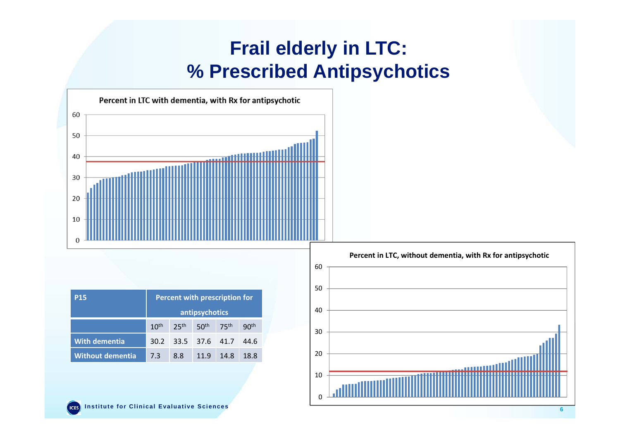### **Frail elderly in LTC: % Prescribed Antipsychotics**



| <b>P15</b>              | Percent with prescription for |                  |                  |                  |                  |  |
|-------------------------|-------------------------------|------------------|------------------|------------------|------------------|--|
|                         | antipsychotics                |                  |                  |                  |                  |  |
|                         | 10 <sup>th</sup>              | 25 <sup>th</sup> | 50 <sup>th</sup> | 75 <sup>th</sup> | 90 <sup>th</sup> |  |
| <b>With dementia</b>    | 30.2                          | 33.5 37.6 41.7   |                  |                  | 44.6             |  |
| <b>Without dementia</b> | 7.3                           | 8.8              | 11.9             | 14.8             | 18.8             |  |

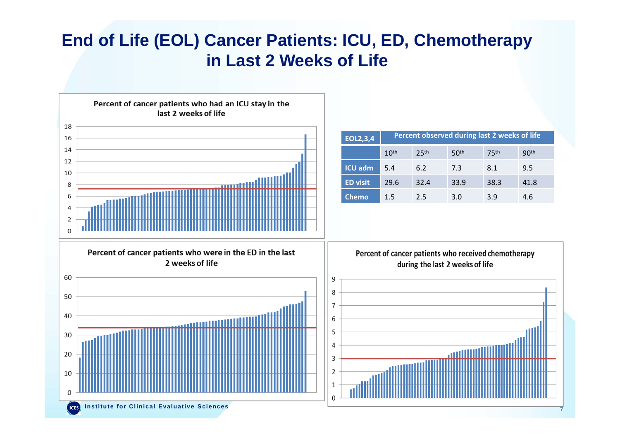#### **End of Life (EOL) Cancer Patients: ICU, ED, Chemotherapy in Last 2 Weeks of Life**



**7**

**Institute for Clinical Evaluative Sciences Institute for Clinical Evaluative Sciences**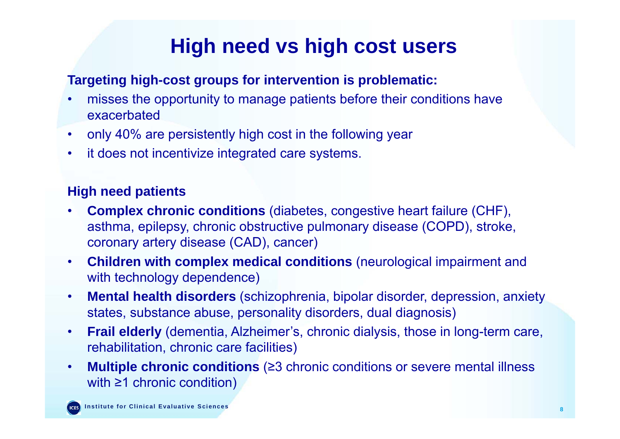## **High need vs high cost users**

#### **Targeting high-cost groups for intervention is problematic:**

- $\bullet$  misses the opportunity to manage patients before their conditions have exacerbated
- •only 40% are persistently high cost in the following year
- $\bullet$ it does not incentivize integrated care systems.

#### **High need patients**

- • **Complex chronic conditions** (diabetes, congestive heart failure (CHF), asthma, epilepsy, chronic obstructive pulmonary disease (COPD), stroke, coronary artery disease (CAD), cancer)
- $\bullet$  **Children with complex medical conditions** (neurological impairment and with technology dependence)
- • **Mental health disorders** (schizophrenia, bipolar disorder, depression, anxiety states, substance abuse, personality disorders, dual diagnosis)
- • **Frail elderly** (dementia, Alzheimer's, chronic dialysis, those in long-term care, rehabilitation, chronic care facilities)
- • **Multiple chronic conditions** (≥3 chronic conditions or severe mental illness with ≥1 chronic condition)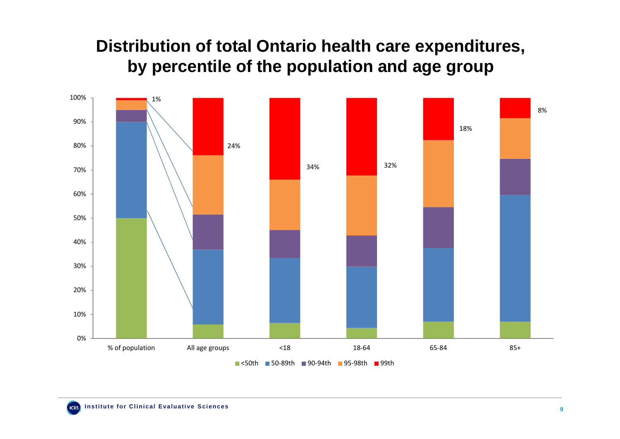#### **Distribution of total Ontario health care expenditures, by percentile of the population and age group**